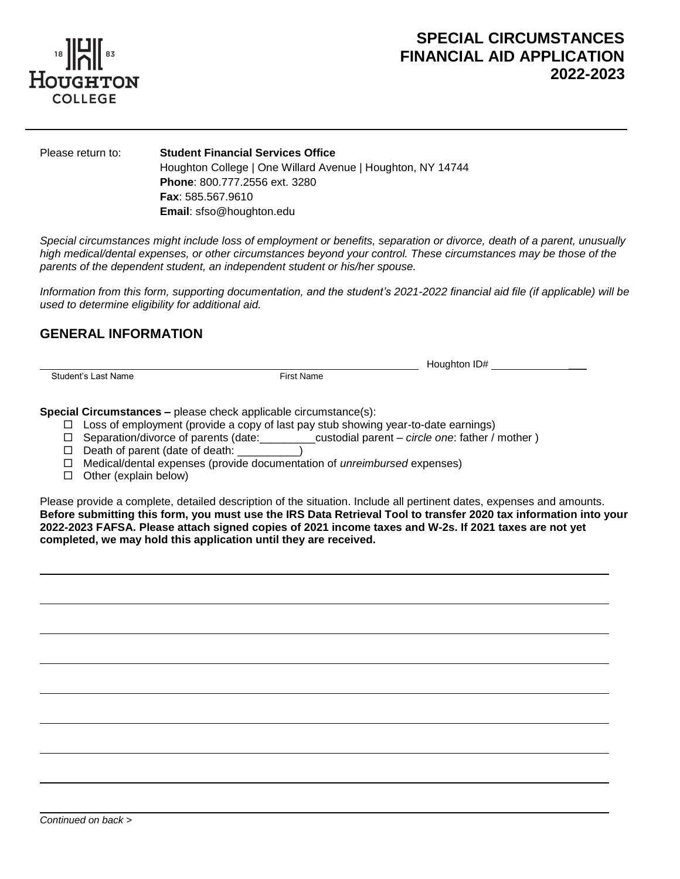

.

# **SPECIAL CIRCUMSTANCES FINANCIAL AID APPLICATION 2022-2023**

Please return to: **Student Financial Services Office** Houghton College | One Willard Avenue | Houghton, NY 14744 **Phone**: 800.777.2556 ext. 3280 **Fax**: 585.567.9610 **Email**: sfso@houghton.edu

*Special circumstances might include loss of employment or benefits, separation or divorce, death of a parent, unusually high medical/dental expenses, or other circumstances beyond your control. These circumstances may be those of the parents of the dependent student, an independent student or his/her spouse.*

*Information from this form, supporting documentation, and the student's 2021-2022 financial aid file (if applicable) will be used to determine eligibility for additional aid.*

#### **GENERAL INFORMATION**

Student's Last Name

L

L

 $\overline{\phantom{0}}$ 

L

L

 $\overline{\phantom{0}}$ 

 $\overline{\phantom{0}}$ 

Houghton ID# \_\_\_

**Special Circumstances –** please check applicable circumstance(s):

- $\Box$  Loss of employment (provide a copy of last pay stub showing year-to-date earnings)
- Separation/divorce of parents (date:\_\_\_\_\_\_\_\_\_custodial parent *circle one*: father / mother )
- D Death of parent (date of death: \_\_\_\_\_\_\_\_\_)
- Medical/dental expenses (provide documentation of *unreimbursed* expenses)
- $\Box$  Other (explain below)

Please provide a complete, detailed description of the situation. Include all pertinent dates, expenses and amounts. **Before submitting this form, you must use the IRS Data Retrieval Tool to transfer 2020 tax information into your 2022-2023 FAFSA. Please attach signed copies of 2021 income taxes and W-2s. If 2021 taxes are not yet completed, we may hold this application until they are received.**

 $\overline{a}$ 

 $\overline{a}$